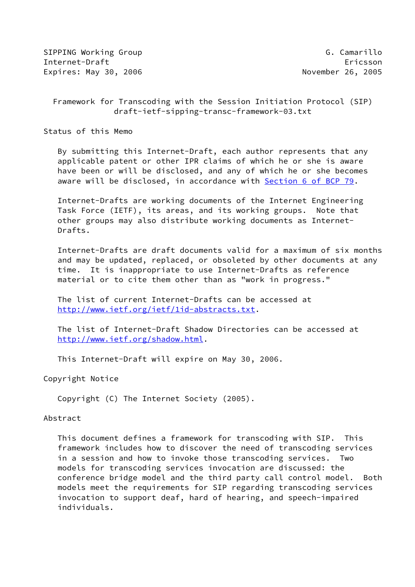SIPPING Working Group G. Camarillo Internet-Draft Ericsson Expires: May 30, 2006 November 26, 2005

# Framework for Transcoding with the Session Initiation Protocol (SIP) draft-ietf-sipping-transc-framework-03.txt

Status of this Memo

 By submitting this Internet-Draft, each author represents that any applicable patent or other IPR claims of which he or she is aware have been or will be disclosed, and any of which he or she becomes aware will be disclosed, in accordance with Section [6 of BCP 79.](https://datatracker.ietf.org/doc/pdf/bcp79#section-6)

 Internet-Drafts are working documents of the Internet Engineering Task Force (IETF), its areas, and its working groups. Note that other groups may also distribute working documents as Internet- Drafts.

 Internet-Drafts are draft documents valid for a maximum of six months and may be updated, replaced, or obsoleted by other documents at any time. It is inappropriate to use Internet-Drafts as reference material or to cite them other than as "work in progress."

 The list of current Internet-Drafts can be accessed at <http://www.ietf.org/ietf/1id-abstracts.txt>.

 The list of Internet-Draft Shadow Directories can be accessed at <http://www.ietf.org/shadow.html>.

This Internet-Draft will expire on May 30, 2006.

Copyright Notice

Copyright (C) The Internet Society (2005).

### Abstract

 This document defines a framework for transcoding with SIP. This framework includes how to discover the need of transcoding services in a session and how to invoke those transcoding services. Two models for transcoding services invocation are discussed: the conference bridge model and the third party call control model. Both models meet the requirements for SIP regarding transcoding services invocation to support deaf, hard of hearing, and speech-impaired individuals.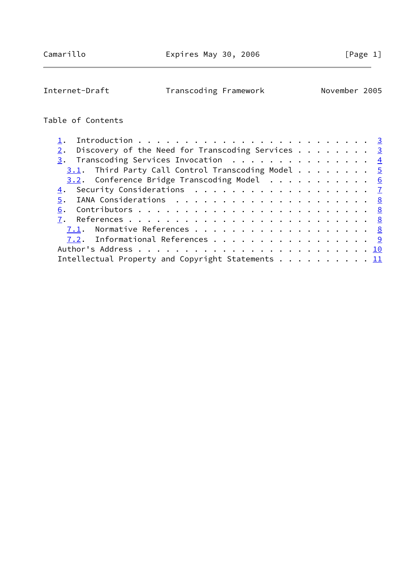Internet-Draft Transcoding Framework November 2005

# Table of Contents

| Discovery of the Need for Transcoding Services $\cdots$ 3 |  |
|-----------------------------------------------------------|--|
| $\frac{3}{2}$ . Transcoding Services Invocation 4         |  |
| $3.1$ . Third Party Call Control Transcoding Model 5      |  |
| $3.2$ . Conference Bridge Transcoding Model 6             |  |
| 4. Security Considerations 7                              |  |
|                                                           |  |
|                                                           |  |
|                                                           |  |
| 7.1. Normative References 8                               |  |
| 7.2. Informational References 9                           |  |
|                                                           |  |
| Intellectual Property and Copyright Statements 11         |  |
|                                                           |  |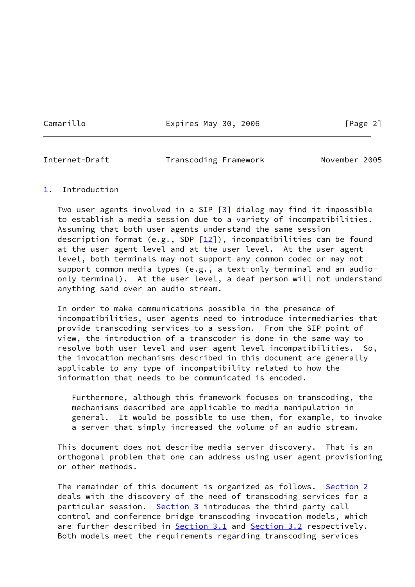Camarillo Expires May 30, 2006 [Page 2]

<span id="page-2-1"></span>

Internet-Draft Transcoding Framework November 2005

## <span id="page-2-0"></span>[1](#page-2-0). Introduction

Two user agents involved in a SIP  $[3]$  $[3]$  dialog may find it impossible to establish a media session due to a variety of incompatibilities. Assuming that both user agents understand the same session description format (e.g., SDP  $[12]$  $[12]$ ), incompatibilities can be found at the user agent level and at the user level. At the user agent level, both terminals may not support any common codec or may not support common media types (e.g., a text-only terminal and an audio only terminal). At the user level, a deaf person will not understand anything said over an audio stream.

 In order to make communications possible in the presence of incompatibilities, user agents need to introduce intermediaries that provide transcoding services to a session. From the SIP point of view, the introduction of a transcoder is done in the same way to resolve both user level and user agent level incompatibilities. So, the invocation mechanisms described in this document are generally applicable to any type of incompatibility related to how the information that needs to be communicated is encoded.

 Furthermore, although this framework focuses on transcoding, the mechanisms described are applicable to media manipulation in general. It would be possible to use them, for example, to invoke a server that simply increased the volume of an audio stream.

 This document does not describe media server discovery. That is an orthogonal problem that one can address using user agent provisioning or other methods.

 The remainder of this document is organized as follows. [Section 2](#page-3-0) deals with the discovery of the need of transcoding services for a particular session. [Section 3](#page-4-0) introduces the third party call control and conference bridge transcoding invocation models, which are further described in [Section 3.1](#page-4-1) and [Section 3.2](#page-5-0) respectively. Both models meet the requirements regarding transcoding services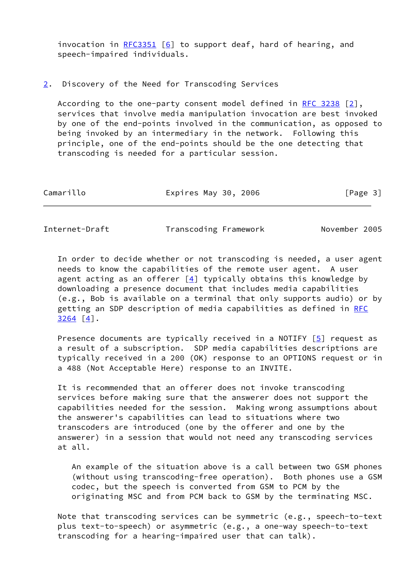invocation in  $RFC3351$  [[6\]](#page-8-5) to support deaf, hard of hearing, and speech-impaired individuals.

#### <span id="page-3-0"></span>[2](#page-3-0). Discovery of the Need for Transcoding Services

 According to the one-party consent model defined in [RFC 3238](https://datatracker.ietf.org/doc/pdf/rfc3238) [\[2\]](#page-8-6), services that involve media manipulation invocation are best invoked by one of the end-points involved in the communication, as opposed to being invoked by an intermediary in the network. Following this principle, one of the end-points should be the one detecting that transcoding is needed for a particular session.

| Camarillo | Expires May 30, 2006 | [Page 3] |
|-----------|----------------------|----------|
|           |                      |          |

<span id="page-3-1"></span>Internet-Draft Transcoding Framework November 2005

 In order to decide whether or not transcoding is needed, a user agent needs to know the capabilities of the remote user agent. A user agent acting as an offerer  $[4]$  $[4]$  typically obtains this knowledge by downloading a presence document that includes media capabilities (e.g., Bob is available on a terminal that only supports audio) or by getting an SDP description of media capabilities as defined in [RFC](https://datatracker.ietf.org/doc/pdf/rfc3264) [3264](https://datatracker.ietf.org/doc/pdf/rfc3264) [\[4\]](#page-8-7).

Presence documents are typically received in a NOTIFY  $[5]$  $[5]$  request as a result of a subscription. SDP media capabilities descriptions are typically received in a 200 (OK) response to an OPTIONS request or in a 488 (Not Acceptable Here) response to an INVITE.

 It is recommended that an offerer does not invoke transcoding services before making sure that the answerer does not support the capabilities needed for the session. Making wrong assumptions about the answerer's capabilities can lead to situations where two transcoders are introduced (one by the offerer and one by the answerer) in a session that would not need any transcoding services at all.

 An example of the situation above is a call between two GSM phones (without using transcoding-free operation). Both phones use a GSM codec, but the speech is converted from GSM to PCM by the originating MSC and from PCM back to GSM by the terminating MSC.

 Note that transcoding services can be symmetric (e.g., speech-to-text plus text-to-speech) or asymmetric (e.g., a one-way speech-to-text transcoding for a hearing-impaired user that can talk).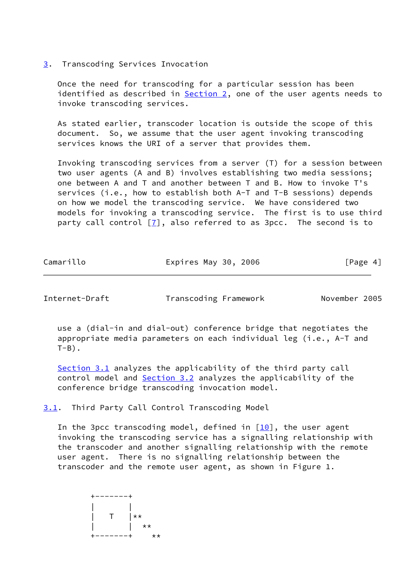## <span id="page-4-0"></span>[3](#page-4-0). Transcoding Services Invocation

 Once the need for transcoding for a particular session has been identified as described in  $Section 2$ , one of the user agents needs to invoke transcoding services.

 As stated earlier, transcoder location is outside the scope of this document. So, we assume that the user agent invoking transcoding services knows the URI of a server that provides them.

 Invoking transcoding services from a server (T) for a session between two user agents (A and B) involves establishing two media sessions; one between A and T and another between T and B. How to invoke T's services (i.e., how to establish both A-T and T-B sessions) depends on how we model the transcoding service. We have considered two models for invoking a transcoding service. The first is to use third party call control [[7\]](#page-9-3), also referred to as 3pcc. The second is to

| Camarillo<br>Expires May 30, 2006 | [Page 4] |
|-----------------------------------|----------|
|-----------------------------------|----------|

<span id="page-4-2"></span>Internet-Draft Transcoding Framework November 2005

 use a (dial-in and dial-out) conference bridge that negotiates the appropriate media parameters on each individual leg (i.e., A-T and  $T-B$ ).

[Section 3.1](#page-4-1) analyzes the applicability of the third party call control model and **Section 3.2** analyzes the applicability of the conference bridge transcoding invocation model.

<span id="page-4-1"></span>[3.1](#page-4-1). Third Party Call Control Transcoding Model

In the 3pcc transcoding model, defined in  $[10]$  $[10]$ , the user agent invoking the transcoding service has a signalling relationship with the transcoder and another signalling relationship with the remote user agent. There is no signalling relationship between the transcoder and the remote user agent, as shown in Figure 1.

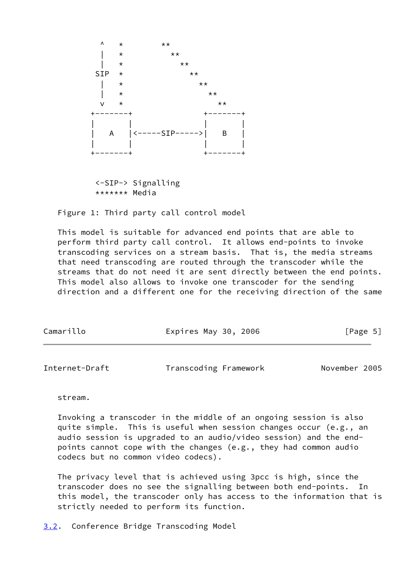

 <-SIP-> Signalling \*\*\*\*\*\*\* Media

Figure 1: Third party call control model

 This model is suitable for advanced end points that are able to perform third party call control. It allows end-points to invoke transcoding services on a stream basis. That is, the media streams that need transcoding are routed through the transcoder while the streams that do not need it are sent directly between the end points. This model also allows to invoke one transcoder for the sending direction and a different one for the receiving direction of the same

| Camarillo | Expires May 30, 2006 | [Page 5] |
|-----------|----------------------|----------|
|           |                      |          |

<span id="page-5-1"></span>

| Internet-Draft | Transcoding Framework | November 2005 |  |
|----------------|-----------------------|---------------|--|
|                |                       |               |  |

stream.

 Invoking a transcoder in the middle of an ongoing session is also quite simple. This is useful when session changes occur (e.g., an audio session is upgraded to an audio/video session) and the end points cannot cope with the changes (e.g., they had common audio codecs but no common video codecs).

 The privacy level that is achieved using 3pcc is high, since the transcoder does no see the signalling between both end-points. In this model, the transcoder only has access to the information that is strictly needed to perform its function.

<span id="page-5-0"></span>[3.2](#page-5-0). Conference Bridge Transcoding Model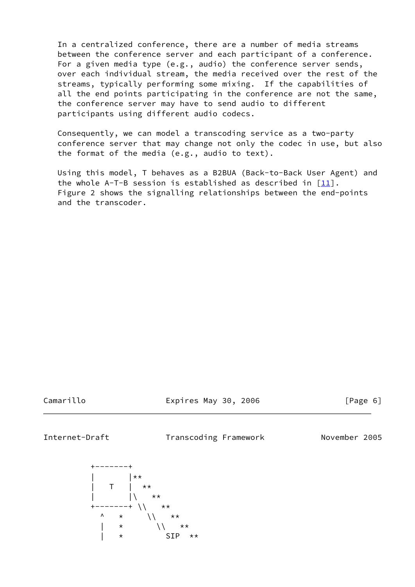In a centralized conference, there are a number of media streams between the conference server and each participant of a conference. For a given media type (e.g., audio) the conference server sends, over each individual stream, the media received over the rest of the streams, typically performing some mixing. If the capabilities of all the end points participating in the conference are not the same, the conference server may have to send audio to different participants using different audio codecs.

 Consequently, we can model a transcoding service as a two-party conference server that may change not only the codec in use, but also the format of the media (e.g., audio to text).

 Using this model, T behaves as a B2BUA (Back-to-Back User Agent) and the whole A-T-B session is established as described in  $[11]$  $[11]$ . Figure 2 shows the signalling relationships between the end-points and the transcoder.

Camarillo Expires May 30, 2006 [Page 6]

<span id="page-6-0"></span>Internet-Draft Transcoding Framework November 2005

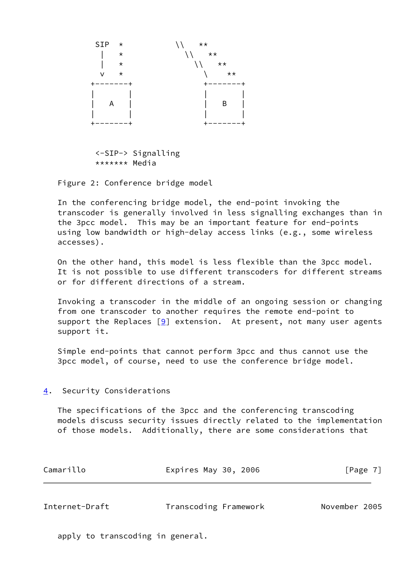

 <-SIP-> Signalling \*\*\*\*\*\*\* Media

Figure 2: Conference bridge model

 In the conferencing bridge model, the end-point invoking the transcoder is generally involved in less signalling exchanges than in the 3pcc model. This may be an important feature for end-points using low bandwidth or high-delay access links (e.g., some wireless accesses).

 On the other hand, this model is less flexible than the 3pcc model. It is not possible to use different transcoders for different streams or for different directions of a stream.

 Invoking a transcoder in the middle of an ongoing session or changing from one transcoder to another requires the remote end-point to support the Replaces  $[9]$  extension. At present, not many user agents support it.

 Simple end-points that cannot perform 3pcc and thus cannot use the 3pcc model, of course, need to use the conference bridge model.

## <span id="page-7-0"></span>[4](#page-7-0). Security Considerations

 The specifications of the 3pcc and the conferencing transcoding models discuss security issues directly related to the implementation of those models. Additionally, there are some considerations that

| Camarillo | Expires May 30, 2006 | [Page 7] |
|-----------|----------------------|----------|
|           |                      |          |

<span id="page-7-1"></span>

| Internet-Draft<br>November 2005<br>Transcoding Framework |  |
|----------------------------------------------------------|--|
|----------------------------------------------------------|--|

apply to transcoding in general.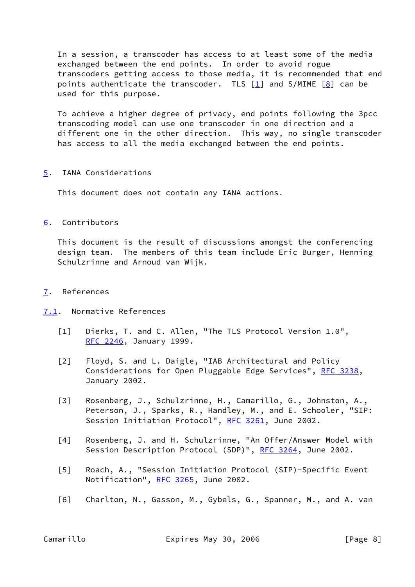In a session, a transcoder has access to at least some of the media exchanged between the end points. In order to avoid rogue transcoders getting access to those media, it is recommended that end points authenticate the transcoder. TLS  $[1]$  and S/MIME  $[8]$  $[8]$  can be used for this purpose.

 To achieve a higher degree of privacy, end points following the 3pcc transcoding model can use one transcoder in one direction and a different one in the other direction. This way, no single transcoder has access to all the media exchanged between the end points.

<span id="page-8-0"></span>[5](#page-8-0). IANA Considerations

This document does not contain any IANA actions.

<span id="page-8-1"></span>[6](#page-8-1). Contributors

 This document is the result of discussions amongst the conferencing design team. The members of this team include Eric Burger, Henning Schulzrinne and Arnoud van Wijk.

- <span id="page-8-2"></span>[7](#page-8-2). References
- <span id="page-8-9"></span><span id="page-8-6"></span><span id="page-8-4"></span><span id="page-8-3"></span>[7.1](#page-8-3). Normative References
	- [1] Dierks, T. and C. Allen, "The TLS Protocol Version 1.0", [RFC 2246](https://datatracker.ietf.org/doc/pdf/rfc2246), January 1999.
	- [2] Floyd, S. and L. Daigle, "IAB Architectural and Policy Considerations for Open Pluggable Edge Services", [RFC 3238](https://datatracker.ietf.org/doc/pdf/rfc3238), January 2002.
	- [3] Rosenberg, J., Schulzrinne, H., Camarillo, G., Johnston, A., Peterson, J., Sparks, R., Handley, M., and E. Schooler, "SIP: Session Initiation Protocol", [RFC 3261,](https://datatracker.ietf.org/doc/pdf/rfc3261) June 2002.
	- [4] Rosenberg, J. and H. Schulzrinne, "An Offer/Answer Model with Session Description Protocol (SDP)", [RFC 3264,](https://datatracker.ietf.org/doc/pdf/rfc3264) June 2002.
	- [5] Roach, A., "Session Initiation Protocol (SIP)-Specific Event Notification", [RFC 3265](https://datatracker.ietf.org/doc/pdf/rfc3265), June 2002.
	- [6] Charlton, N., Gasson, M., Gybels, G., Spanner, M., and A. van

<span id="page-8-8"></span><span id="page-8-7"></span><span id="page-8-5"></span>Camarillo Expires May 30, 2006 [Page 8]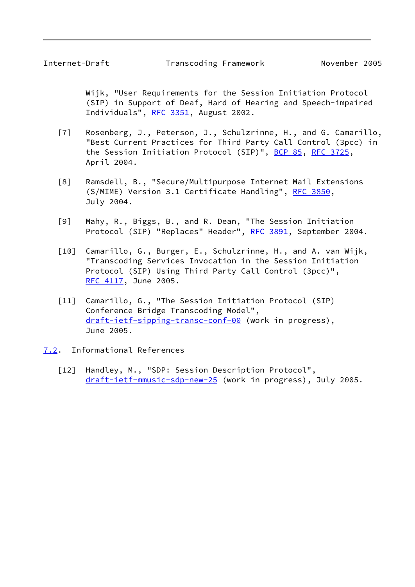<span id="page-9-1"></span> Wijk, "User Requirements for the Session Initiation Protocol (SIP) in Support of Deaf, Hard of Hearing and Speech-impaired Individuals", [RFC 3351,](https://datatracker.ietf.org/doc/pdf/rfc3351) August 2002.

- <span id="page-9-3"></span> [7] Rosenberg, J., Peterson, J., Schulzrinne, H., and G. Camarillo, "Best Current Practices for Third Party Call Control (3pcc) in the Session Initiation Protocol (SIP)", [BCP 85](https://datatracker.ietf.org/doc/pdf/bcp85), [RFC 3725](https://datatracker.ietf.org/doc/pdf/rfc3725), April 2004.
- <span id="page-9-7"></span> [8] Ramsdell, B., "Secure/Multipurpose Internet Mail Extensions (S/MIME) Version 3.1 Certificate Handling", [RFC 3850](https://datatracker.ietf.org/doc/pdf/rfc3850), July 2004.
- <span id="page-9-6"></span> [9] Mahy, R., Biggs, B., and R. Dean, "The Session Initiation Protocol (SIP) "Replaces" Header", [RFC 3891](https://datatracker.ietf.org/doc/pdf/rfc3891), September 2004.
- <span id="page-9-4"></span> [10] Camarillo, G., Burger, E., Schulzrinne, H., and A. van Wijk, "Transcoding Services Invocation in the Session Initiation Protocol (SIP) Using Third Party Call Control (3pcc)", [RFC 4117](https://datatracker.ietf.org/doc/pdf/rfc4117), June 2005.
- <span id="page-9-5"></span> [11] Camarillo, G., "The Session Initiation Protocol (SIP) Conference Bridge Transcoding Model", [draft-ietf-sipping-transc-conf-00](https://datatracker.ietf.org/doc/pdf/draft-ietf-sipping-transc-conf-00) (work in progress), June 2005.
- <span id="page-9-2"></span><span id="page-9-0"></span>[7.2](#page-9-0). Informational References
	- [12] Handley, M., "SDP: Session Description Protocol", [draft-ietf-mmusic-sdp-new-25](https://datatracker.ietf.org/doc/pdf/draft-ietf-mmusic-sdp-new-25) (work in progress), July 2005.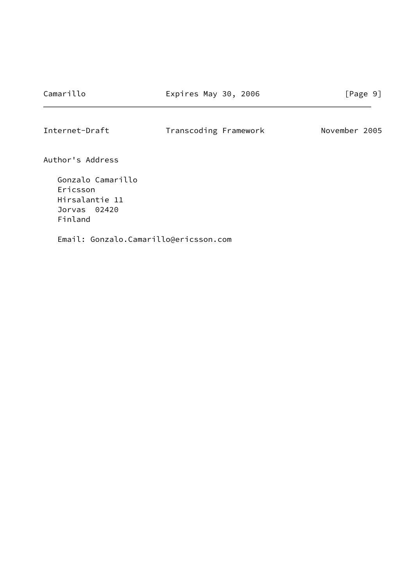<span id="page-10-0"></span>Internet-Draft Transcoding Framework November 2005

Author's Address

 Gonzalo Camarillo Ericsson Hirsalantie 11 Jorvas 02420 Finland

Email: Gonzalo.Camarillo@ericsson.com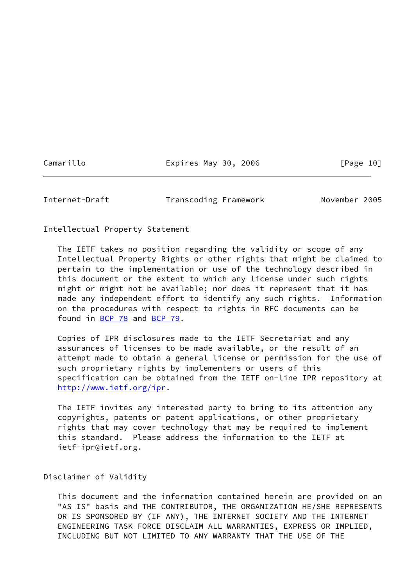Camarillo **Expires May 30, 2006** [Page 10]

<span id="page-11-0"></span>Internet-Draft Transcoding Framework November 2005

Intellectual Property Statement

 The IETF takes no position regarding the validity or scope of any Intellectual Property Rights or other rights that might be claimed to pertain to the implementation or use of the technology described in this document or the extent to which any license under such rights might or might not be available; nor does it represent that it has made any independent effort to identify any such rights. Information on the procedures with respect to rights in RFC documents can be found in [BCP 78](https://datatracker.ietf.org/doc/pdf/bcp78) and [BCP 79](https://datatracker.ietf.org/doc/pdf/bcp79).

 Copies of IPR disclosures made to the IETF Secretariat and any assurances of licenses to be made available, or the result of an attempt made to obtain a general license or permission for the use of such proprietary rights by implementers or users of this specification can be obtained from the IETF on-line IPR repository at <http://www.ietf.org/ipr>.

 The IETF invites any interested party to bring to its attention any copyrights, patents or patent applications, or other proprietary rights that may cover technology that may be required to implement this standard. Please address the information to the IETF at ietf-ipr@ietf.org.

Disclaimer of Validity

 This document and the information contained herein are provided on an "AS IS" basis and THE CONTRIBUTOR, THE ORGANIZATION HE/SHE REPRESENTS OR IS SPONSORED BY (IF ANY), THE INTERNET SOCIETY AND THE INTERNET ENGINEERING TASK FORCE DISCLAIM ALL WARRANTIES, EXPRESS OR IMPLIED, INCLUDING BUT NOT LIMITED TO ANY WARRANTY THAT THE USE OF THE